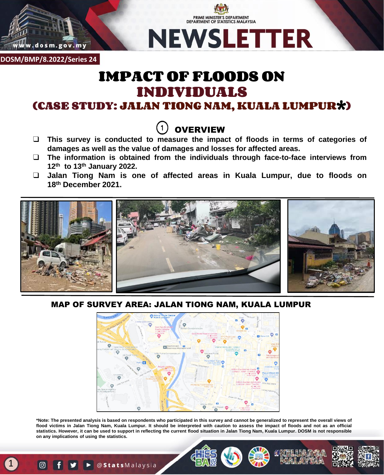

**DOSM/BMP/8.2022/Series 24**

# IMPACT OF FLOODS ON INDIVIDUALS

PRIME MINISTER'S DEPARTMENT **DEPARTMENT OF STATISTICS MALAYSIA** 

**NEWSLETTER** 

(CASE STUDY: JALAN TIONG NAM, KUALA LUMPUR\*)



- ❑ **This survey is conducted to measure the impact of floods in terms of categories of damages as well as the value of damages and losses for affected areas.**
- ❑ **The information is obtained from the individuals through face-to-face interviews from 12th to 13th January 2022.**
- ❑ **Jalan Tiong Nam is one of affected areas in Kuala Lumpur, due to floods on 18th December 2021.**



MAP OF SURVEY AREA: JALAN TIONG NAM, KUALA LUMPUR



\*Note: The presented analysis is based on respondents who participated in this survey and cannot be generalized to represent the overall views of flood victims in Jalan Tiong Nam, Kuala Lumpur. It should be interpreted with caution to assess the impact of floods and not as an official statistics. However, it can be used to support in reflecting the current flood situation in Jalan Tiong Nam, Kuala Lumpur. DOSM is not responsible **on any implications of using the statistics.**

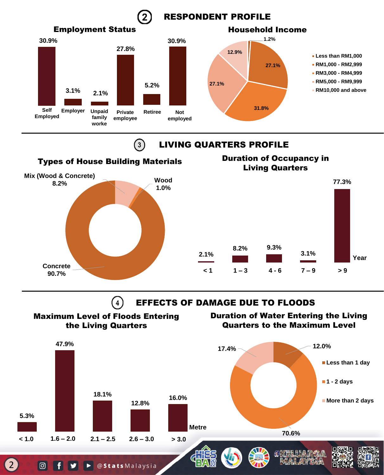



▶ @ Stats Malaysia

| ල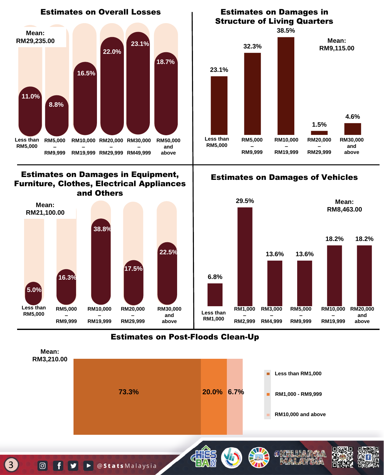

### Estimates on Damages in Equipment, Furniture, Clothes, Electrical Appliances and Others



### **23.1% 32.3% 38.5% 1.5% 4.6% Less than RM5,000 RM5,000 – RM10,000 – RM20,000 – RM30,000 and**  Structure of Living Quarters **Mean: RM9,115.00**

### Estimates on Damages of Vehicles

**RM19,999**

**RM29,999**

**above**

**RM9,999**



### Estimates on Post-Floods Clean-Up



### **O** f y **D** @ Stats Malaysia

3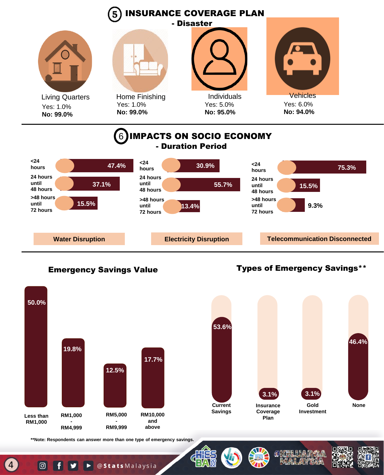

# Emergency Savings Value Types of Emergency Savings\*\*





**\*\*Note: Respondents can answer more than one type of emergency savings.**

4